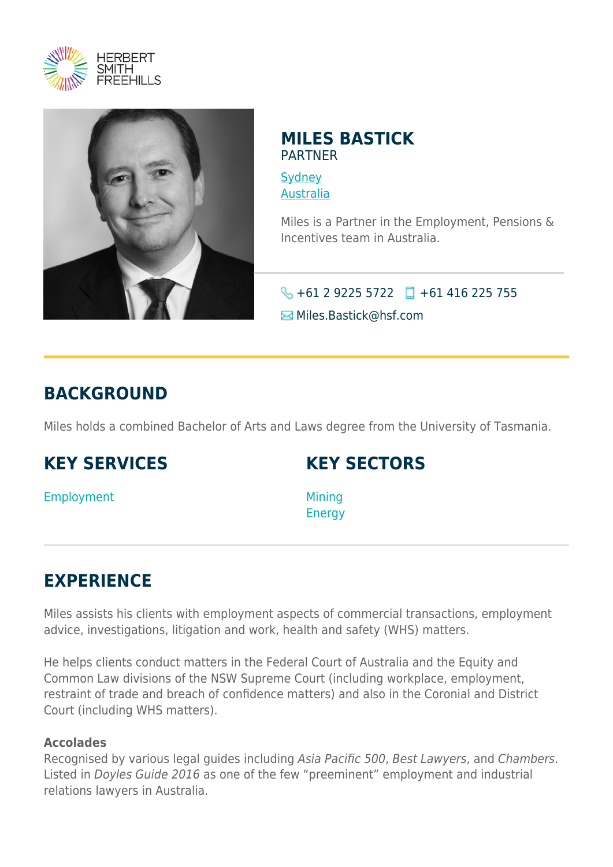



### **MILES BASTICK** PARTNER

**[Sydney](https://www.herbertsmithfreehills.com/lang-de/where-we-work/sydney)** [Australia](https://www.herbertsmithfreehills.com/lang-de/where-we-work/australia)

Miles is a Partner in the Employment, Pensions & Incentives team in Australia.

### $\bigotimes$  +61 2 9225 5722 +61 416 225 755

Miles.Bastick@hsf.com

## **BACKGROUND**

Miles holds a combined Bachelor of Arts and Laws degree from the University of Tasmania.

## **KEY SERVICES**

## **KEY SECTORS**

Employment

Mining **Energy** 

# **EXPERIENCE**

Miles assists his clients with employment aspects of commercial transactions, employment advice, investigations, litigation and work, health and safety (WHS) matters.

He helps clients conduct matters in the Federal Court of Australia and the Equity and Common Law divisions of the NSW Supreme Court (including workplace, employment, restraint of trade and breach of confidence matters) and also in the Coronial and District Court (including WHS matters).

### **Accolades**

Recognised by various legal guides including Asia Pacific 500, Best Lawyers, and Chambers. Listed in Doyles Guide 2016 as one of the few "preeminent" employment and industrial relations lawyers in Australia.